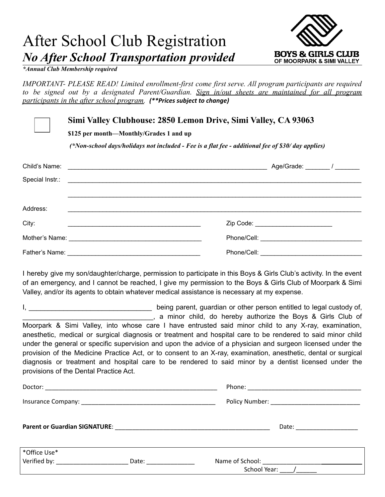## After School Club Registration *No After School Transportation provided*



*\*Annual Club Membership required*

*IMPORTANT- PLEASE READ! Limited enrollment-first come first serve. All program participants are required to be signed out by a designated Parent/Guardian. Sign in/out sheets are maintained for all program participants in the after school program. (\*\*Prices subject to change)*

**Simi Valley Clubhouse: 2850 Lemon Drive, Simi Valley, CA 93063**

**\$125 per month—Monthly/Grades 1 and up**

*(\*Non-school days/holidays not included - Fee is a flat fee - additional fee of \$30/ day applies)*

| Child's Name:<br><u> 1989 - Jan Barat, margaret amerikan basal dan berasal dari basal dan berasal dari berasal dan berasal dan ber</u> |             |
|----------------------------------------------------------------------------------------------------------------------------------------|-------------|
|                                                                                                                                        |             |
|                                                                                                                                        |             |
| Address:                                                                                                                               |             |
| City:                                                                                                                                  |             |
|                                                                                                                                        |             |
| Father's Name:                                                                                                                         | Phone/Cell: |

I hereby give my son/daughter/charge, permission to participate in this Boys & Girls Club's activity. In the event of an emergency, and I cannot be reached, I give my permission to the Boys & Girls Club of Moorpark & Simi Valley, and/or its agents to obtain whatever medical assistance is necessary at my expense.

I, the same of the setting parent, guardian or other person entitled to legal custody of, \_\_\_\_\_\_\_\_\_\_\_\_\_\_\_\_\_\_\_\_\_\_\_\_\_\_\_\_\_\_\_\_\_\_, a minor child, do hereby authorize the Boys & Girls Club of Moorpark & Simi Valley, into whose care I have entrusted said minor child to any X-ray, examination, anesthetic, medical or surgical diagnosis or treatment and hospital care to be rendered to said minor child under the general or specific supervision and upon the advice of a physician and surgeon licensed under the provision of the Medicine Practice Act, or to consent to an X-ray, examination, anesthetic, dental or surgical diagnosis or treatment and hospital care to be rendered to said minor by a dentist licensed under the provisions of the Dental Practice Act.

| *Office Use*<br>Verified by: Verified by: | Date: the contract of the contract of the contract of the contract of the contract of the contract of the contract of the contract of the contract of the contract of the contract of the contract of the contract of the cont |  |  |
|-------------------------------------------|--------------------------------------------------------------------------------------------------------------------------------------------------------------------------------------------------------------------------------|--|--|